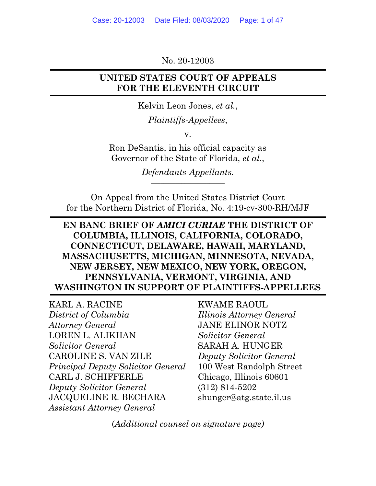No. 20-12003

#### <span id="page-0-0"></span>**UNITED STATES COURT OF APPEALS FOR THE ELEVENTH CIRCUIT**

Kelvin Leon Jones, *et al.*,

*Plaintiffs-Appellees*,

v.

Ron DeSantis, in his official capacity as Governor of the State of Florida, *et al.*,

> *Defendants-Appellants.* \_\_\_\_\_\_\_\_\_\_\_\_\_\_\_\_\_\_\_\_\_\_\_\_

On Appeal from the United States District Court for the Northern District of Florida, No. 4:19-cv-300-RH/MJF

#### **EN BANC BRIEF OF** *AMICI CURIAE* **THE DISTRICT OF COLUMBIA, ILLINOIS, CALIFORNIA, COLORADO, CONNECTICUT, DELAWARE, HAWAII, MARYLAND, MASSACHUSETTS, MICHIGAN, MINNESOTA, NEVADA, NEW JERSEY, NEW MEXICO, NEW YORK, OREGON, PENNSYLVANIA, VERMONT, VIRGINIA, AND WASHINGTON IN SUPPORT OF PLAINTIFFS-APPELLEES**

KARL A. RACINE KWAME RAOUL *District of Columbia Illinois Attorney General Attorney General* JANE ELINOR NOTZ LOREN L. ALIKHAN *Solicitor General*  **Solicitor General SARAH A. HUNGER** CAROLINE S. VAN ZILE *Deputy Solicitor General Principal Deputy Solicitor General* 100 West Randolph Street CARL J. SCHIFFERLE Chicago, Illinois 60601 *Deputy Solicitor General* (312) 814-5202 JACQUELINE R. BECHARA [shunger@atg.state.il.us](mailto:shunger@atg.state.il.us)  *Assistant Attorney General* 

(*Additional counsel on signature page)*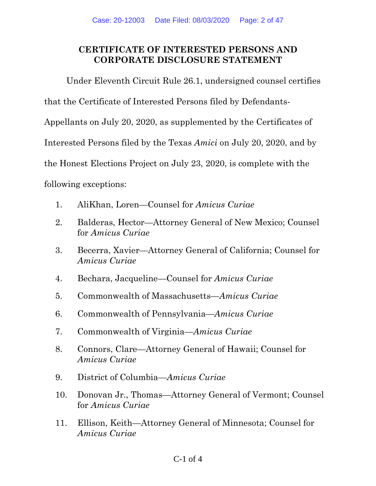### <span id="page-1-0"></span>**CERTIFICATE OF INTERESTED PERSONS AND CORPORATE DISCLOSURE STATEMENT**

Under Eleventh Circuit Rule 26.1, undersigned counsel certifies

that the Certificate of Interested Persons filed by Defendants-

Appellants on July 20, 2020, as supplemented by the Certificates of

Interested Persons filed by the Texas *Amici* on July 20, 2020, and by

the Honest Elections Project on July 23, 2020, is complete with the

following exceptions:

- 1. AliKhan, Loren—Counsel for *Amicus Curiae*
- 2. Balderas, Hector—Attorney General of New Mexico; Counsel for *Amicus Curiae*
- 3. Becerra, Xavier—Attorney General of California; Counsel for *Amicus Curiae*
- 4. Bechara, Jacqueline—Counsel for *Amicus Curiae*
- 5. Commonwealth of Massachusetts—*Amicus Curiae*
- 6. Commonwealth of Pennsylvania—*Amicus Curiae*
- 7. Commonwealth of Virginia—*Amicus Curiae*
- 8. Connors, Clare—Attorney General of Hawaii; Counsel for *Amicus Curiae*
- 9. District of Columbia—*Amicus Curiae*
- 10. Donovan Jr., Thomas—Attorney General of Vermont; Counsel for *Amicus Curiae*
- 11. Ellison, Keith—Attorney General of Minnesota; Counsel for *Amicus Curiae*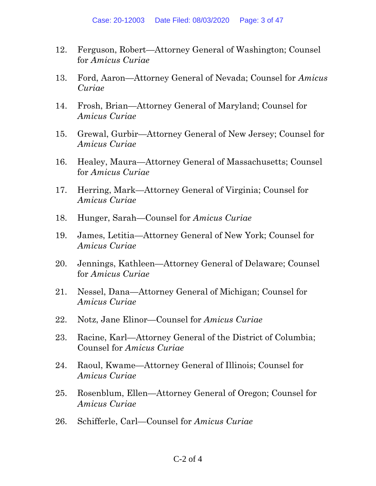- <span id="page-2-0"></span>12. Ferguson, Robert—Attorney General of Washington; Counsel for *Amicus Curiae*
- 13. Ford, Aaron—Attorney General of Nevada; Counsel for *Amicus Curiae*
- 14. Frosh, Brian—Attorney General of Maryland; Counsel for *Amicus Curiae*
- 15. Grewal, Gurbir—Attorney General of New Jersey; Counsel for *Amicus Curiae*
- 16. Healey, Maura—Attorney General of Massachusetts; Counsel for *Amicus Curiae*
- 17. Herring, Mark—Attorney General of Virginia; Counsel for *Amicus Curiae*
- 18. Hunger, Sarah—Counsel for *Amicus Curiae*
- 19. James, Letitia—Attorney General of New York; Counsel for *Amicus Curiae*
- 20. Jennings, Kathleen—Attorney General of Delaware; Counsel for *Amicus Curiae*
- 21. Nessel, Dana—Attorney General of Michigan; Counsel for *Amicus Curiae*
- 22. Notz, Jane Elinor—Counsel for *Amicus Curiae*
- 23. Racine, Karl—Attorney General of the District of Columbia; Counsel for *Amicus Curiae*
- 24. Raoul, Kwame—Attorney General of Illinois; Counsel for *Amicus Curiae*
- 25. Rosenblum, Ellen—Attorney General of Oregon; Counsel for *Amicus Curiae*
- 26. Schifferle, Carl—Counsel for *Amicus Curiae*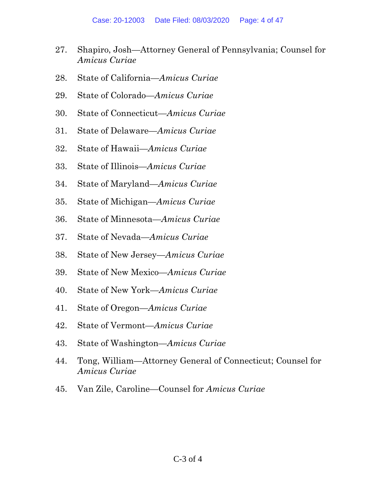- 27. Shapiro, Josh—Attorney General of Pennsylvania; Counsel for *Amicus Curiae*
- 28. State of California—*Amicus Curiae*
- 29. State of Colorado—*Amicus Curiae*
- 30. State of Connecticut—*Amicus Curiae*
- 31. State of Delaware—*Amicus Curiae*
- 32. State of Hawaii—*Amicus Curiae*
- 33. State of Illinois—*Amicus Curiae*
- 34. State of Maryland—*Amicus Curiae*
- 35. State of Michigan—*Amicus Curiae*
- 36. State of Minnesota—*Amicus Curiae*
- 37. State of Nevada—*Amicus Curiae*
- 38. State of New Jersey—*Amicus Curiae*
- 39. State of New Mexico—*Amicus Curiae*
- 40. State of New York—*Amicus Curiae*
- 41. State of Oregon—*Amicus Curiae*
- 42. State of Vermont—*Amicus Curiae*
- 43. State of Washington—*Amicus Curiae*
- 44. Tong, William—Attorney General of Connecticut; Counsel for *Amicus Curiae*
- 45. Van Zile, Caroline—Counsel for *Amicus Curiae*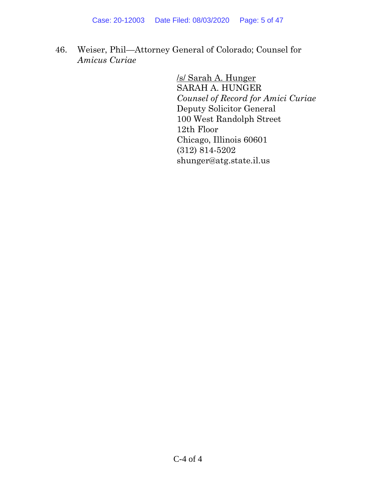46. Weiser, Phil—Attorney General of Colorado; Counsel for *Amicus Curiae* 

> /s/ Sarah A. Hunger SARAH A. HUNGER *Counsel of Record for Amici Curiae*  Deputy Solicitor General 100 West Randolph Street 12th Floor Chicago, Illinois 60601 (312) 814-5202 [shunger@atg.state.il.us](mailto:shunger@atg.state.il.us)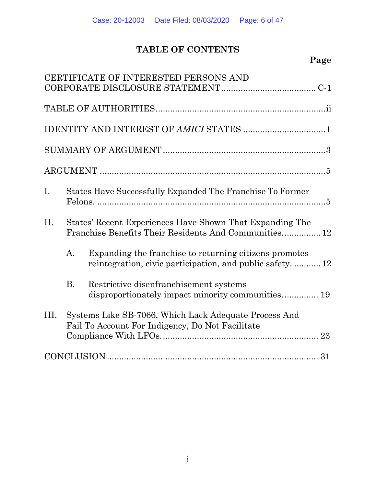# **TABLE OF CONTENTS**

# **Page**

|      |                                                                                                                   | CERTIFICATE OF INTERESTED PERSONS AND                                                                                |
|------|-------------------------------------------------------------------------------------------------------------------|----------------------------------------------------------------------------------------------------------------------|
|      |                                                                                                                   |                                                                                                                      |
|      |                                                                                                                   |                                                                                                                      |
|      |                                                                                                                   |                                                                                                                      |
|      |                                                                                                                   |                                                                                                                      |
| Ι.   |                                                                                                                   | States Have Successfully Expanded The Franchise To Former                                                            |
| II.  | States' Recent Experiences Have Shown That Expanding The<br>Franchise Benefits Their Residents And Communities 12 |                                                                                                                      |
|      | А.                                                                                                                | Expanding the franchise to returning citizens promotes<br>reintegration, civic participation, and public safety.  12 |
|      | $\mathbf{B}$ .                                                                                                    | Restrictive disenfranchisement systems<br>disproportionately impact minority communities 19                          |
| III. |                                                                                                                   | Systems Like SB-7066, Which Lack Adequate Process And<br>Fail To Account For Indigency, Do Not Facilitate            |
|      |                                                                                                                   |                                                                                                                      |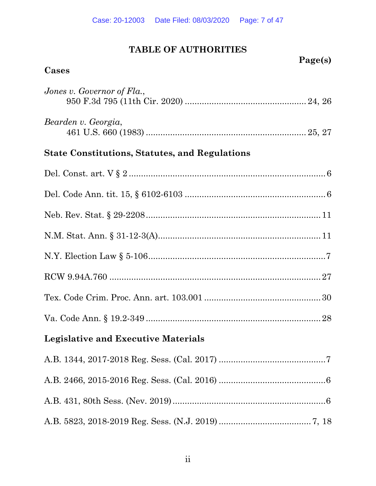# **TABLE OF AUTHORITIES**

<span id="page-6-0"></span>

|                                                       | Page(s) |  |  |  |
|-------------------------------------------------------|---------|--|--|--|
| Cases                                                 |         |  |  |  |
| Jones v. Governor of Fla.,                            |         |  |  |  |
| Bearden v. Georgia,                                   |         |  |  |  |
| <b>State Constitutions, Statutes, and Regulations</b> |         |  |  |  |
|                                                       |         |  |  |  |
|                                                       |         |  |  |  |
|                                                       |         |  |  |  |
|                                                       |         |  |  |  |
|                                                       |         |  |  |  |
|                                                       |         |  |  |  |
|                                                       |         |  |  |  |
|                                                       |         |  |  |  |
| <b>Legislative and Executive Materials</b>            |         |  |  |  |
|                                                       |         |  |  |  |
|                                                       |         |  |  |  |
|                                                       |         |  |  |  |
|                                                       |         |  |  |  |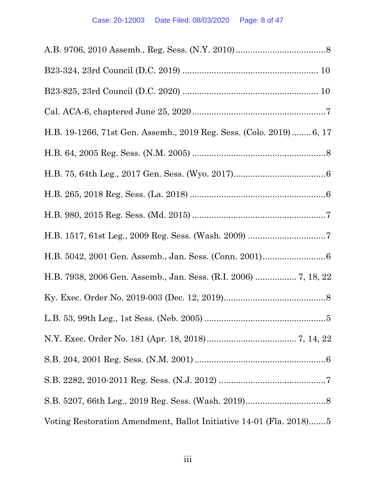| H.B. 19-1266, 71st Gen. Assemb., 2019 Reg. Sess. (Colo. 2019) 6, 17 |
|---------------------------------------------------------------------|
|                                                                     |
|                                                                     |
|                                                                     |
|                                                                     |
|                                                                     |
|                                                                     |
|                                                                     |
|                                                                     |
|                                                                     |
|                                                                     |
|                                                                     |
|                                                                     |
|                                                                     |
| Voting Restoration Amendment, Ballot Initiative 14-01 (Fla. 2018)5  |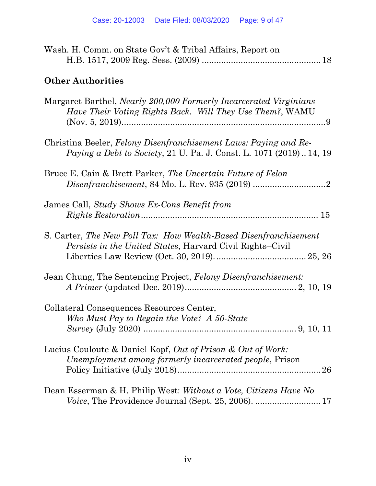| Wash. H. Comm. on State Gov't & Tribal Affairs, Report on                                                                                       |
|-------------------------------------------------------------------------------------------------------------------------------------------------|
| <b>Other Authorities</b>                                                                                                                        |
| Margaret Barthel, <i>Nearly 200,000 Formerly Incarcerated Virginians</i><br>Have Their Voting Rights Back. Will They Use Them?, WAMU            |
| Christina Beeler, Felony Disenfranchisement Laws: Paying and Re-<br><i>Paying a Debt to Society, 21 U. Pa. J. Const. L. 1071 (2019)  14, 19</i> |
| Bruce E. Cain & Brett Parker, The Uncertain Future of Felon                                                                                     |
| James Call, Study Shows Ex-Cons Benefit from                                                                                                    |
| S. Carter, The New Poll Tax: How Wealth-Based Disenfranchisement<br><i>Persists in the United States, Harvard Civil Rights–Civil</i>            |
| Jean Chung, The Sentencing Project, Felony Disenfranchisement:                                                                                  |
| Collateral Consequences Resources Center,<br>Who Must Pay to Regain the Vote? A 50-State                                                        |
| Lucius Couloute & Daniel Kopf, Out of Prison & Out of Work:<br>Unemployment among formerly incarcerated people, Prison                          |
| Dean Esserman & H. Philip West: Without a Vote, Citizens Have No                                                                                |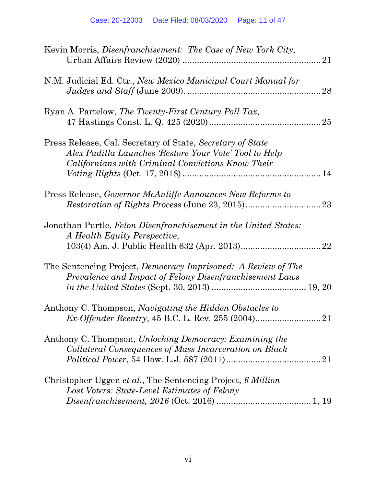| Kevin Morris, <i>Disenfranchisement: The Case of New York City</i> ,                                                                                                      |
|---------------------------------------------------------------------------------------------------------------------------------------------------------------------------|
| N.M. Judicial Ed. Ctr., New Mexico Municipal Court Manual for<br>28                                                                                                       |
| Ryan A. Partelow, The Twenty-First Century Poll Tax,                                                                                                                      |
| Press Release, Cal. Secretary of State, Secretary of State<br>Alex Padilla Launches 'Restore Your Vote' Tool to Help<br>Californians with Criminal Convictions Know Their |
| Press Release, Governor McAuliffe Announces New Reforms to                                                                                                                |
| Jonathan Purtle, Felon Disenfranchisement in the United States:<br>A Health Equity Perspective,<br>22                                                                     |
| The Sentencing Project, Democracy Imprisoned: A Review of The<br>Prevalence and Impact of Felony Disenfranchisement Laws                                                  |
| Anthony C. Thompson, <i>Navigating the Hidden Obstacles to</i>                                                                                                            |
| Anthony C. Thompson, Unlocking Democracy: Examining the<br>Collateral Consequences of Mass Incarceration on Black                                                         |
| Christopher Uggen et al., The Sentencing Project, 6 Million<br>Lost Voters: State-Level Estimates of Felony                                                               |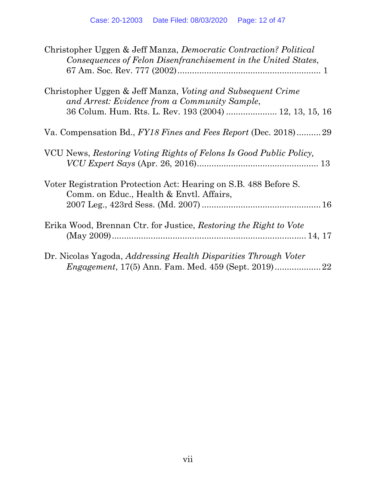<span id="page-11-0"></span>

| Christopher Uggen & Jeff Manza, <i>Democratic Contraction? Political</i><br>Consequences of Felon Disenfranchisement in the United States,                             |
|------------------------------------------------------------------------------------------------------------------------------------------------------------------------|
| Christopher Uggen & Jeff Manza, Voting and Subsequent Crime<br>and Arrest: Evidence from a Community Sample,<br>36 Colum. Hum. Rts. L. Rev. 193 (2004)  12, 13, 15, 16 |
| Va. Compensation Bd., FY18 Fines and Fees Report (Dec. 2018)29                                                                                                         |
| VCU News, Restoring Voting Rights of Felons Is Good Public Policy,                                                                                                     |
| Voter Registration Protection Act: Hearing on S.B. 488 Before S.<br>Comm. on Educ., Health & Envtl. Affairs,                                                           |
| Erika Wood, Brennan Ctr. for Justice, Restoring the Right to Vote                                                                                                      |
| Dr. Nicolas Yagoda, Addressing Health Disparities Through Voter<br>22                                                                                                  |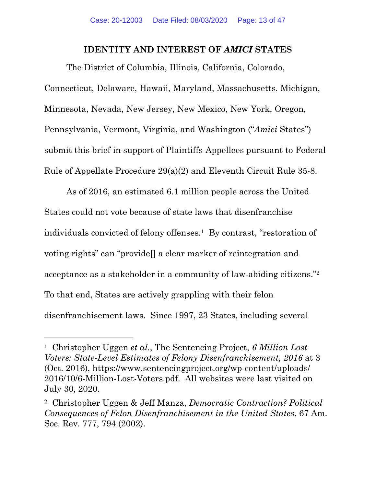#### **IDENTITY AND INTEREST OF** *AMICI* **STATES**

The District of Columbia, Illinois, California, Colorado,

Connecticut, Delaware, Hawaii, Maryland, Massachusetts, Michigan, Minnesota, Nevada, New Jersey, New Mexico, New York, Oregon, Pennsylvania, Vermont, Virginia, and Washington ("*Amici* States") submit this brief in support of Plaintiffs-Appellees pursuant to Federal Rule of Appellate Procedure 29(a)(2) and Eleventh Circuit Rule 35-8.

As of 2016, an estimated 6.1 million people across the United States could not vote because of state laws that disenfranchise individuals convicted of felony offenses.1 By contrast, "restoration of voting rights" can "provide[] a clear marker of reintegration and acceptance as a stakeholder in a community of law-abiding citizens."2 To that end, States are actively grappling with their felon disenfranchisement laws. Since 1997, 23 States, including several

<sup>1</sup> Christopher Uggen *et al.*, The Sentencing Project, *6 Million Lost Voters: State-Level Estimates of Felony Disenfranchisement, 2016* at 3 (Oct. 2016), <https://www.sentencingproject.org/wp-content/uploads>/ 2016/10/6-Million-Lost-Voters.pdf. All websites were last visited on July 30, 2020.

<sup>2</sup> Christopher Uggen & Jeff Manza, *Democratic Contraction? Political Consequences of Felon Disenfranchisement in the United States*, 67 Am. Soc. Rev. 777, 794 (2002).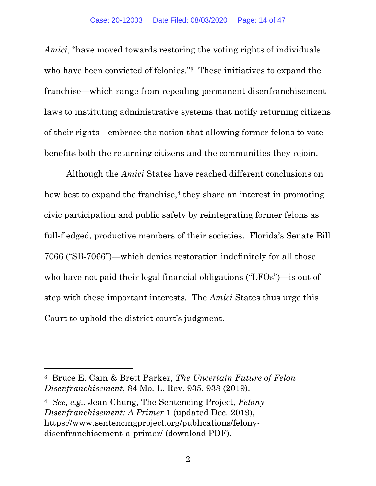*Amici*, "have moved towards restoring the voting rights of individuals who have been convicted of felonies."<sup>3</sup> These initiatives to expand the franchise—which range from repealing permanent disenfranchisement laws to instituting administrative systems that notify returning citizens of their rights—embrace the notion that allowing former felons to vote benefits both the returning citizens and the communities they rejoin.

Although the *Amici* States have reached different conclusions on how best to expand the franchise, $4$  they share an interest in promoting civic participation and public safety by reintegrating former felons as full-fledged, productive members of their societies. Florida's Senate Bill 7066 ("SB-7066")—which denies restoration indefinitely for all those who have not paid their legal financial obligations ("LFOs")—is out of step with these important interests. The *Amici* States thus urge this Court to uphold the district court's judgment.

<sup>3</sup> Bruce E. Cain & Brett Parker, *The Uncertain Future of Felon Disenfranchisement*, 84 Mo. L. Rev. 935, 938 (2019).

<sup>4</sup>*See, e.g.*, Jean Chung, The Sentencing Project, *Felony Disenfranchisement: A Primer* 1 (updated Dec. 2019), <https://www.sentencingproject.org/publications/felony>disenfranchisement-a-primer/ (download PDF).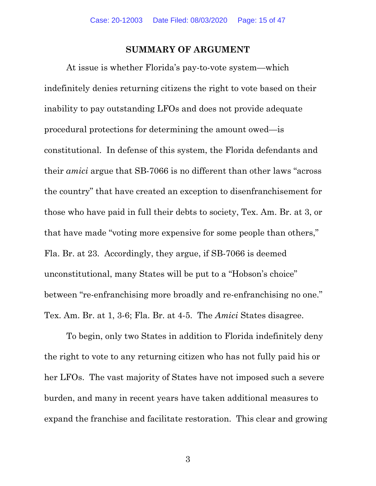#### **SUMMARY OF ARGUMENT**

At issue is whether Florida's pay-to-vote system—which indefinitely denies returning citizens the right to vote based on their inability to pay outstanding LFOs and does not provide adequate procedural protections for determining the amount owed—is constitutional. In defense of this system, the Florida defendants and their *amici* argue that SB-7066 is no different than other laws "across the country" that have created an exception to disenfranchisement for those who have paid in full their debts to society, Tex. Am. Br. at 3, or that have made "voting more expensive for some people than others," Fla. Br. at 23. Accordingly, they argue, if SB-7066 is deemed unconstitutional, many States will be put to a "Hobson's choice" between "re-enfranchising more broadly and re-enfranchising no one." Tex. Am. Br. at 1, 3-6; Fla. Br. at 4-5. The *Amici* States disagree.

To begin, only two States in addition to Florida indefinitely deny the right to vote to any returning citizen who has not fully paid his or her LFOs. The vast majority of States have not imposed such a severe burden, and many in recent years have taken additional measures to expand the franchise and facilitate restoration. This clear and growing

3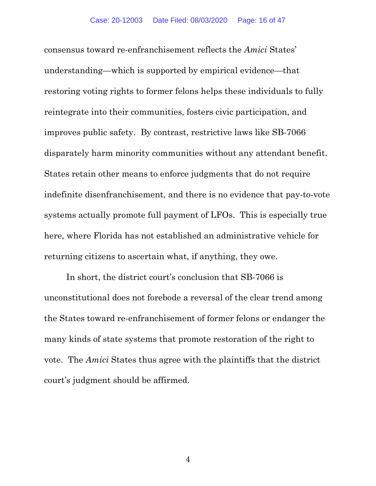consensus toward re-enfranchisement reflects the *Amici* States' understanding—which is supported by empirical evidence—that restoring voting rights to former felons helps these individuals to fully reintegrate into their communities, fosters civic participation, and improves public safety. By contrast, restrictive laws like SB-7066 disparately harm minority communities without any attendant benefit. States retain other means to enforce judgments that do not require indefinite disenfranchisement, and there is no evidence that pay-to-vote systems actually promote full payment of LFOs. This is especially true here, where Florida has not established an administrative vehicle for returning citizens to ascertain what, if anything, they owe.

In short, the district court's conclusion that SB-7066 is unconstitutional does not forebode a reversal of the clear trend among the States toward re-enfranchisement of former felons or endanger the many kinds of state systems that promote restoration of the right to vote. The *Amici* States thus agree with the plaintiffs that the district court's judgment should be affirmed.

4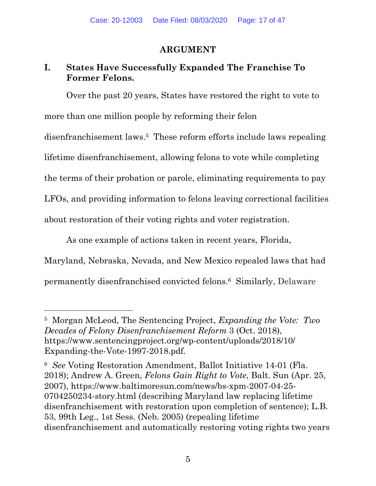### **ARGUMENT**

## <span id="page-16-0"></span>**I. States Have Successfully Expanded The Franchise To Former Felons.**

Over the past 20 years, States have restored the right to vote to more than one million people by reforming their felon disenfranchisement laws.5 These reform efforts include laws repealing lifetime disenfranchisement, allowing felons to vote while completing the terms of their probation or parole, eliminating requirements to pay LFOs, and providing information to felons leaving correctional facilities about restoration of their voting rights and voter registration.

As one example of actions taken in recent years, Florida,

Maryland, Nebraska, Nevada, and New Mexico repealed laws that had permanently disenfranchised convicted felons.6 Similarly, Delaware

<sup>5</sup> Morgan McLeod, The Sentencing Project, *Expanding the Vote: Two Decades of Felony Disenfranchisement Reform* 3 (Oct. 2018), <https://www.sentencingproject.org/wp-content/uploads/2018/10>/ Expanding-the-Vote-1997-2018.pdf.

<sup>6</sup>*See* Voting Restoration Amendment, Ballot Initiative 14-01 (Fla. 2018); Andrew A. Green, *Felons Gain Right to Vote*, Balt. Sun (Apr. 25, 2007), <https://www.baltimoresun.com/news/bs-xpm-2007-04-25>- 0704250234-story.html (describing Maryland law replacing lifetime disenfranchisement with restoration upon completion of sentence); L.B. 53, 99th Leg., 1st Sess. (Neb. 2005) (repealing lifetime disenfranchisement and automatically restoring voting rights two years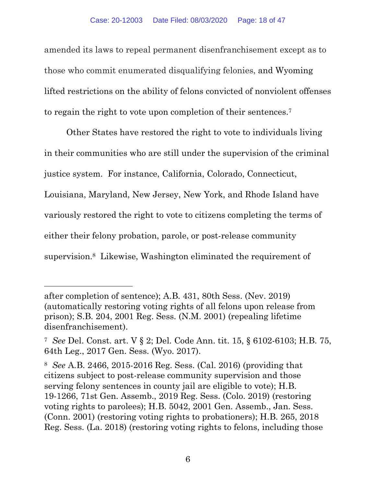<span id="page-17-0"></span>amended its laws to repeal permanent disenfranchisement except as to those who commit enumerated disqualifying felonies, and Wyoming lifted restrictions on the ability of felons convicted of nonviolent offenses to regain the right to vote upon completion of their sentences.7

Other States have restored the right to vote to individuals living in their communities who are still under the supervision of the criminal justice system. For instance, California, Colorado, Connecticut, Louisiana, Maryland, New Jersey, New York, and Rhode Island have variously restored the right to vote to citizens completing the terms of either their felony probation, parole, or post-release community supervision.8 Likewise, Washington eliminated the requirement of

after completion of sentence); A.B. 431, 80th Sess. (Nev. 2019) (automatically restoring voting rights of all felons upon release from prison); S.B. 204, 2001 Reg. Sess. (N.M. 2001) (repealing lifetime disenfranchisement).

<sup>7</sup>*See* Del. Const. art. V § 2; Del. Code Ann. tit. 15, § 6102-6103; H.B. 75, 64th Leg., 2017 Gen. Sess. (Wyo. 2017).

<sup>8</sup>*See* A.B. 2466, 2015-2016 Reg. Sess. (Cal. 2016) (providing that citizens subject to post-release community supervision and those serving felony sentences in county jail are eligible to vote); H.B. 19-1266, 71st Gen. Assemb., 2019 Reg. Sess. (Colo. 2019) (restoring voting rights to parolees); H.B. 5042, 2001 Gen. Assemb., Jan. Sess. (Conn. 2001) (restoring voting rights to probationers); H.B. 265, 2018 Reg. Sess. (La. 2018) (restoring voting rights to felons, including those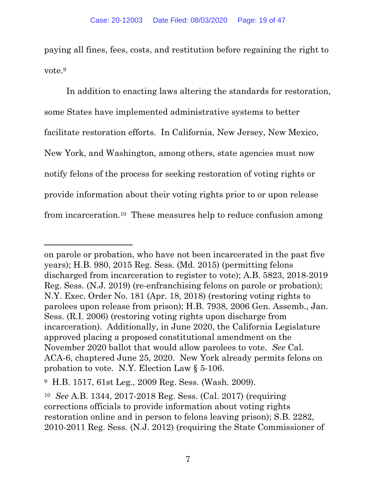<span id="page-18-0"></span>paying all fines, fees, costs, and restitution before regaining the right to vote.9

In addition to enacting laws altering the standards for restoration, some States have implemented administrative systems to better facilitate restoration efforts. In California, New Jersey, New Mexico, New York, and Washington, among others, state agencies must now notify felons of the process for seeking restoration of voting rights or provide information about their voting rights prior to or upon release from [incarceration.10](https://incarceration.10) These measures help to reduce confusion among

on parole or probation, who have not been incarcerated in the past five years); H.B. 980, 2015 Reg. Sess. (Md. 2015) (permitting felons discharged from incarceration to register to vote); A.B. 5823, 2018-2019 Reg. Sess. (N.J. 2019) (re-enfranchising felons on parole or probation); N.Y. Exec. Order No. 181 (Apr. 18, 2018) (restoring voting rights to parolees upon release from prison); H.B. 7938, 2006 Gen. Assemb., Jan. Sess. (R.I. 2006) (restoring voting rights upon discharge from incarceration). Additionally, in June 2020, the California Legislature approved placing a proposed constitutional amendment on the November 2020 ballot that would allow parolees to vote. *See* Cal. ACA-6, chaptered June 25, 2020. New York already permits felons on probation to vote. N.Y. Election Law § 5-106.

<sup>9</sup> H.B. 1517, 61st Leg., 2009 Reg. Sess. (Wash. 2009).

<sup>10</sup>*See* A.B. 1344, 2017-2018 Reg. Sess. (Cal. 2017) (requiring corrections officials to provide information about voting rights restoration online and in person to felons leaving prison); S.B. 2282, 2010-2011 Reg. Sess. (N.J. 2012) (requiring the State Commissioner of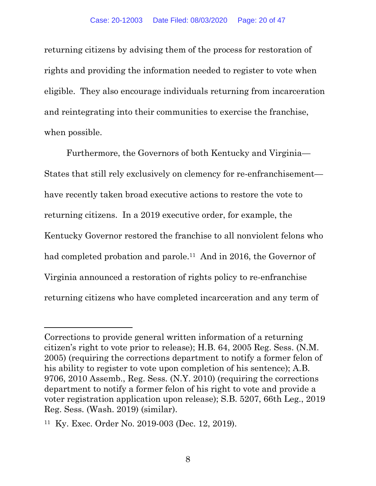returning citizens by advising them of the process for restoration of rights and providing the information needed to register to vote when eligible. They also encourage individuals returning from incarceration and reintegrating into their communities to exercise the franchise, when possible.

Furthermore, the Governors of both Kentucky and Virginia— States that still rely exclusively on clemency for re-enfranchisement have recently taken broad executive actions to restore the vote to returning citizens. In a 2019 executive order, for example, the Kentucky Governor restored the franchise to all nonviolent felons who had completed probation and parole.<sup>11</sup> And in 2016, the Governor of Virginia announced a restoration of rights policy to re-enfranchise returning citizens who have completed incarceration and any term of

Corrections to provide general written information of a returning citizen's right to vote prior to release); H.B. 64, 2005 Reg. Sess. (N.M. 2005) (requiring the corrections department to notify a former felon of his ability to register to vote upon completion of his sentence); A.B. 9706, 2010 Assemb., Reg. Sess. (N.Y. 2010) (requiring the corrections department to notify a former felon of his right to vote and provide a voter registration application upon release); S.B. 5207, 66th Leg., 2019 Reg. Sess. (Wash. 2019) (similar).

<sup>11</sup> Ky. Exec. Order No. 2019-003 (Dec. 12, 2019).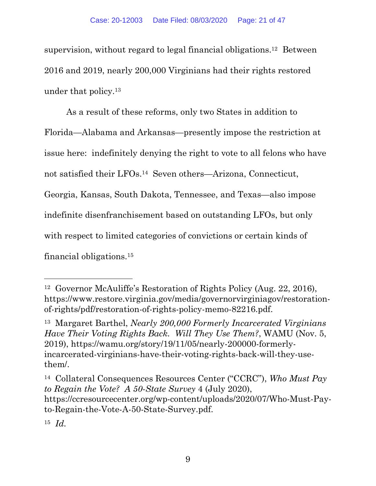<span id="page-20-0"></span>supervision, without regard to legal financial [obligations.12](https://obligations.12) Between 2016 and 2019, nearly 200,000 Virginians had their rights restored under that [policy.13](https://policy.13) 

As a result of these reforms, only two States in addition to Florida—Alabama and Arkansas—presently impose the restriction at issue here: indefinitely denying the right to vote to all felons who have not satisfied their LFOs.14 Seven others—Arizona, Connecticut, Georgia, Kansas, South Dakota, Tennessee, and Texas—also impose indefinite disenfranchisement based on outstanding LFOs, but only with respect to limited categories of convictions or certain kinds of financial [obligations.15](https://obligations.15)

<sup>12</sup> Governor McAuliffe's Restoration of Rights Policy (Aug. 22, 2016), <https://www.restore.virginia.gov/media/governorvirginiagov/restoration>of-rights/pdf/restoration-of-rights-policy-memo-82216.pdf.

<sup>13</sup> Margaret Barthel, *Nearly 200,000 Formerly Incarcerated Virginians Have Their Voting Rights Back. Will They Use Them?*, WAMU (Nov. 5, 2019), <https://wamu.org/story/19/11/05/nearly-200000-formerly>incarcerated-virginians-have-their-voting-rights-back-will-they-usethem/.

<sup>14</sup> Collateral Consequences Resources Center ("CCRC"), *Who Must Pay to Regain the Vote? A 50-State Survey* 4 (July 2020), <https://ccresourcecenter.org/wp-content/uploads/2020/07/Who-Must-Pay>to-Regain-the-Vote-A-50-State-Survey.pdf.

<sup>15</sup>*Id.*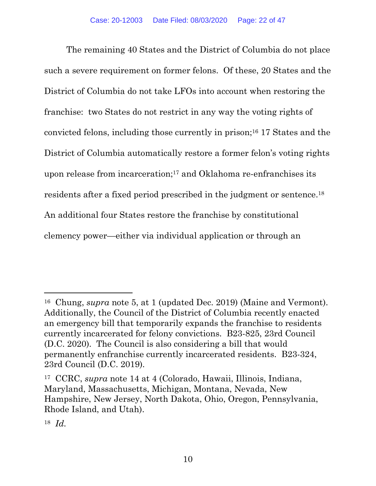<span id="page-21-0"></span>The remaining 40 States and the District of Columbia do not place such a severe requirement on former felons. Of these, 20 States and the District of Columbia do not take LFOs into account when restoring the franchise: two States do not restrict in any way the voting rights of convicted felons, including those currently in prison;16 17 States and the District of Columbia automatically restore a former felon's voting rights upon release from incarceration;17 and Oklahoma re-enfranchises its residents after a fixed period prescribed in the judgment or [sentence.18](https://sentence.18) An additional four States restore the franchise by constitutional clemency power—either via individual application or through an

<sup>16</sup> Chung, *supra* note 5, at 1 (updated Dec. 2019) (Maine and Vermont). Additionally, the Council of the District of Columbia recently enacted an emergency bill that temporarily expands the franchise to residents currently incarcerated for felony convictions. B23-825, 23rd Council (D.C. 2020). The Council is also considering a bill that would permanently enfranchise currently incarcerated residents. B23-324, 23rd Council (D.C. 2019).

<sup>17</sup> CCRC, *supra* note 14 at 4 (Colorado, Hawaii, Illinois, Indiana, Maryland, Massachusetts, Michigan, Montana, Nevada, New Hampshire, New Jersey, North Dakota, Ohio, Oregon, Pennsylvania, Rhode Island, and Utah).

<sup>18</sup>*Id.*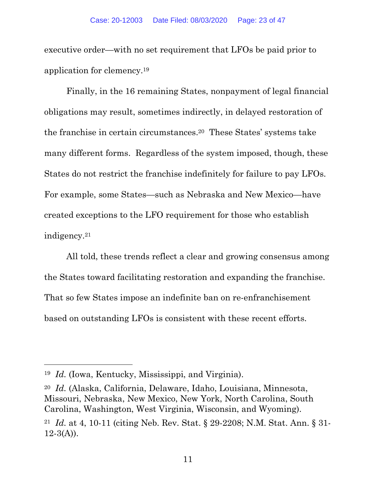<span id="page-22-0"></span>executive order—with no set requirement that LFOs be paid prior to application for [clemency.19](https://clemency.19) 

Finally, in the 16 remaining States, nonpayment of legal financial obligations may result, sometimes indirectly, in delayed restoration of the franchise in certain [circumstances.20](https://circumstances.20) These States' systems take many different forms. Regardless of the system imposed, though, these States do not restrict the franchise indefinitely for failure to pay LFOs. For example, some States—such as Nebraska and New Mexico—have created exceptions to the LFO requirement for those who establish [indigency.21](https://indigency.21)

All told, these trends reflect a clear and growing consensus among the States toward facilitating restoration and expanding the franchise. That so few States impose an indefinite ban on re-enfranchisement based on outstanding LFOs is consistent with these recent efforts.

<sup>19</sup>*Id.* (Iowa, Kentucky, Mississippi, and Virginia).

<sup>20</sup>*Id.* (Alaska, California, Delaware, Idaho, Louisiana, Minnesota, Missouri, Nebraska, New Mexico, New York, North Carolina, South Carolina, Washington, West Virginia, Wisconsin, and Wyoming).

<sup>21</sup>*Id.* at 4, 10-11 (citing Neb. Rev. Stat. § 29-2208; N.M. Stat. Ann. § 31-  $12-3(A)$ ).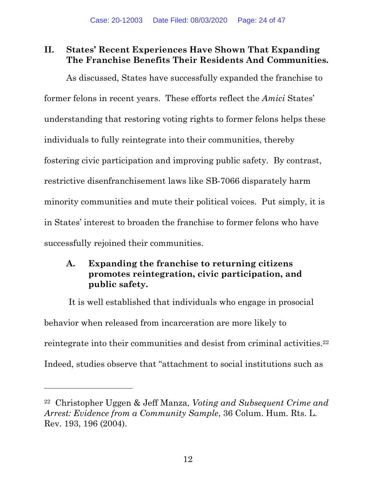## **II. States' Recent Experiences Have Shown That Expanding The Franchise Benefits Their Residents And Communities.**

As discussed, States have successfully expanded the franchise to former felons in recent years. These efforts reflect the *Amici* States' understanding that restoring voting rights to former felons helps these individuals to fully reintegrate into their communities, thereby fostering civic participation and improving public safety. By contrast, restrictive disenfranchisement laws like SB-7066 disparately harm minority communities and mute their political voices. Put simply, it is in States' interest to broaden the franchise to former felons who have successfully rejoined their communities.

## **A. Expanding the franchise to returning citizens promotes reintegration, civic participation, and public safety.**

It is well established that individuals who engage in prosocial behavior when released from incarceration are more likely to reintegrate into their communities and desist from criminal [activities.22](https://activities.22)  Indeed, studies observe that "attachment to social institutions such as

<sup>22</sup> Christopher Uggen & Jeff Manza, *Voting and Subsequent Crime and Arrest: Evidence from a Community Sample*, 36 Colum. Hum. Rts. L. Rev. 193, 196 (2004).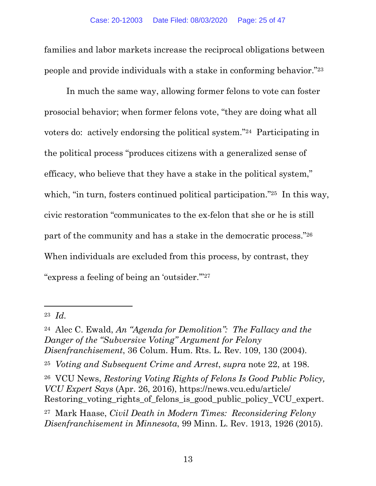<span id="page-24-0"></span>families and labor markets increase the reciprocal obligations between people and provide individuals with a stake in conforming behavior."23

In much the same way, allowing former felons to vote can foster prosocial behavior; when former felons vote, "they are doing what all voters do: actively endorsing the political system."24 Participating in the political process "produces citizens with a generalized sense of efficacy, who believe that they have a stake in the political system," which, "in turn, fosters continued political participation."<sup>25</sup> In this way, civic restoration "communicates to the ex-felon that she or he is still part of the community and has a stake in the democratic process."26 When individuals are excluded from this process, by contrast, they "express a feeling of being an 'outsider.'"27

<sup>23</sup>*Id.* 

<sup>24</sup> Alec C. Ewald, *An "Agenda for Demolition": The Fallacy and the Danger of the "Subversive Voting" Argument for Felony Disenfranchisement*, 36 Colum. Hum. Rts. L. Rev. 109, 130 (2004).

<sup>25</sup>*Voting and Subsequent Crime and Arrest*, *supra* note 22, at 198.

<sup>26</sup> VCU News, *Restoring Voting Rights of Felons Is Good Public Policy, VCU Expert Says* (Apr. 26, 2016), [https://news.vcu.edu/article/](https://news.vcu.edu/article) Restoring\_voting\_rights\_of\_felons\_is\_good\_public\_policy\_VCU\_expert.

<sup>27</sup> Mark Haase, *Civil Death in Modern Times: Reconsidering Felony Disenfranchisement in Minnesota*, 99 Minn. L. Rev. 1913, 1926 (2015).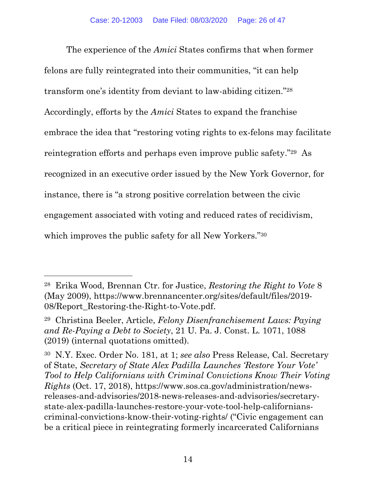<span id="page-25-0"></span>The experience of the *Amici* States confirms that when former felons are fully reintegrated into their communities, "it can help transform one's identity from deviant to law-abiding citizen."28 Accordingly, efforts by the *Amici* States to expand the franchise embrace the idea that "restoring voting rights to ex-felons may facilitate reintegration efforts and perhaps even improve public safety."29 As recognized in an executive order issued by the New York Governor, for instance, there is "a strong positive correlation between the civic engagement associated with voting and reduced rates of recidivism, which improves the public safety for all New Yorkers."<sup>30</sup>

<sup>28</sup> Erika Wood, Brennan Ctr. for Justice, *Restoring the Right to Vote* 8 (May 2009), [https://www.brennancenter.org/sites/default/files/2019-](https://www.brennancenter.org/sites/default/files/2019) 08/Report\_Restoring-the-Right-to-Vote.pdf.

<sup>29</sup> Christina Beeler, Article, *Felony Disenfranchisement Laws: Paying and Re-Paying a Debt to Society*, 21 U. Pa. J. Const. L. 1071, 1088 (2019) (internal quotations omitted).

<sup>30</sup> N.Y. Exec. Order No. 181, at 1; *see also* Press Release, Cal. Secretary of State, *Secretary of State Alex Padilla Launches 'Restore Your Vote' Tool to Help Californians with Criminal Convictions Know Their Voting Rights* (Oct. 17, 2018),<https://www.sos.ca.gov/administration/news>releases-and-advisories/2018-news-releases-and-advisories/secretarystate-alex-padilla-launches-restore-your-vote-tool-help-californianscriminal-convictions-know-their-voting-rights/ ("Civic engagement can be a critical piece in reintegrating formerly incarcerated Californians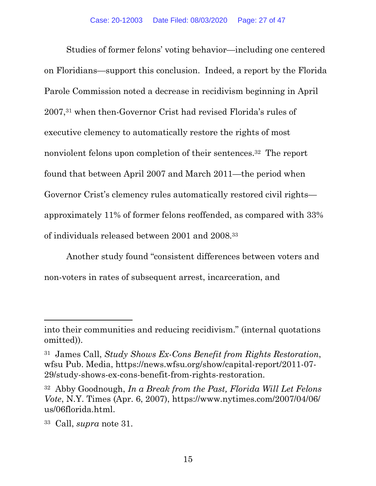<span id="page-26-0"></span>Studies of former felons' voting behavior—including one centered on Floridians—support this conclusion. Indeed, a report by the Florida Parole Commission noted a decrease in recidivism beginning in April 2007,31 when then-Governor Crist had revised Florida's rules of executive clemency to automatically restore the rights of most nonviolent felons upon completion of their [sentences.32](https://sentences.32) The report found that between April 2007 and March 2011—the period when Governor Crist's clemency rules automatically restored civil rights approximately 11% of former felons reoffended, as compared with 33% of individuals released between 2001 and 2008.33

Another study found "consistent differences between voters and non-voters in rates of subsequent arrest, incarceration, and

into their communities and reducing recidivism." (internal quotations omitted)).

<sup>31</sup> James Call, *Study Shows Ex-Cons Benefit from Rights Restoration*, wfsu Pub. Media,<https://news.wfsu.org/show/capital-report/2011-07>- 29/study-shows-ex-cons-benefit-from-rights-restoration.

<sup>32</sup> Abby Goodnough, *In a Break from the Past, Florida Will Let Felons Vote*, N.Y. Times (Apr. 6, 2007), [https://www.nytimes.com/2007/04/06/](https://www.nytimes.com/2007/04/06) us/06florida.html.

<sup>33</sup> Call, *supra* note 31.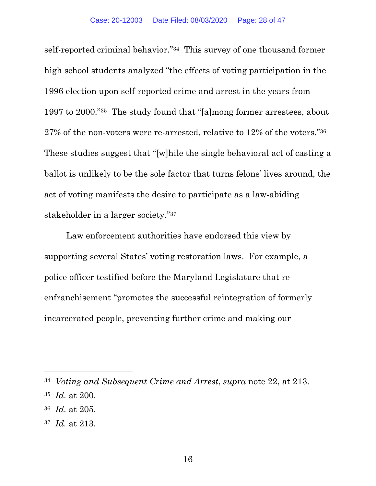<span id="page-27-0"></span>self-reported criminal behavior."34 This survey of one thousand former high school students analyzed "the effects of voting participation in the 1996 election upon self-reported crime and arrest in the years from 1997 to 2000."35 The study found that "[a]mong former arrestees, about 27% of the non-voters were re-arrested, relative to 12% of the voters."36 These studies suggest that "[w]hile the single behavioral act of casting a ballot is unlikely to be the sole factor that turns felons' lives around, the act of voting manifests the desire to participate as a law-abiding stakeholder in a larger society."37

Law enforcement authorities have endorsed this view by supporting several States' voting restoration laws. For example, a police officer testified before the Maryland Legislature that reenfranchisement "promotes the successful reintegration of formerly incarcerated people, preventing further crime and making our

<sup>34</sup>*Voting and Subsequent Crime and Arrest*, *supra* note 22, at 213.

<sup>35</sup>*Id.* at 200.

<sup>36</sup>*Id.* at 205.

<sup>37</sup>*Id.* at 213.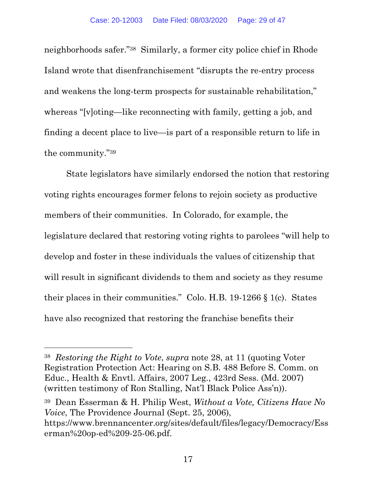<span id="page-28-0"></span>neighborhoods safer."38 Similarly, a former city police chief in Rhode Island wrote that disenfranchisement "disrupts the re-entry process and weakens the long-term prospects for sustainable rehabilitation," whereas "[v]oting—like reconnecting with family, getting a job, and finding a decent place to live—is part of a responsible return to life in the community."39

State legislators have similarly endorsed the notion that restoring voting rights encourages former felons to rejoin society as productive members of their communities. In Colorado, for example, the legislature declared that restoring voting rights to parolees "will help to develop and foster in these individuals the values of citizenship that will result in significant dividends to them and society as they resume their places in their communities." Colo. H.B. 19-1266 § 1(c). States have also recognized that restoring the franchise benefits their

39 Dean Esserman & H. Philip West, *Without a Vote, Citizens Have No Voice*, The Providence Journal (Sept. 25, 2006), <https://www.brennancenter.org/sites/default/files/legacy/Democracy/Ess> erman%20op-ed%209-25-06.pdf.

<sup>38</sup>*Restoring the Right to Vote*, *supra* note 28, at 11 (quoting Voter Registration Protection Act: Hearing on S.B. 488 Before S. Comm. on Educ., Health & Envtl. Affairs, 2007 Leg., 423rd Sess. (Md. 2007) (written testimony of Ron Stalling, Nat'l Black Police Ass'n)).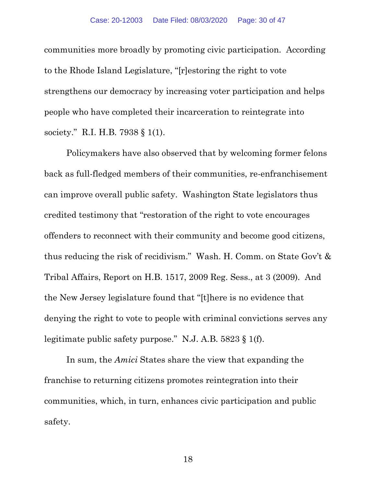<span id="page-29-0"></span>communities more broadly by promoting civic participation. According to the Rhode Island Legislature, "[r]estoring the right to vote strengthens our democracy by increasing voter participation and helps people who have completed their incarceration to reintegrate into society." R.I. H.B. 7938 § 1(1).

Policymakers have also observed that by welcoming former felons back as full-fledged members of their communities, re-enfranchisement can improve overall public safety. Washington State legislators thus credited testimony that "restoration of the right to vote encourages offenders to reconnect with their community and become good citizens, thus reducing the risk of recidivism." Wash. H. Comm. on State Gov't & Tribal Affairs, Report on H.B. 1517, 2009 Reg. Sess., at 3 (2009). And the New Jersey legislature found that "[t]here is no evidence that denying the right to vote to people with criminal convictions serves any legitimate public safety purpose." N.J. A.B. 5823 § 1(f).

In sum, the *Amici* States share the view that expanding the franchise to returning citizens promotes reintegration into their communities, which, in turn, enhances civic participation and public safety.

18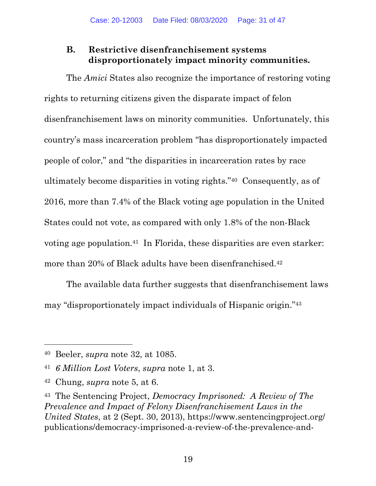### <span id="page-30-0"></span>**B. Restrictive disenfranchisement systems disproportionately impact minority communities.**

The *Amici* States also recognize the importance of restoring voting rights to returning citizens given the disparate impact of felon disenfranchisement laws on minority communities. Unfortunately, this country's mass incarceration problem "has disproportionately impacted people of color," and "the disparities in incarceration rates by race ultimately become disparities in voting rights."40 Consequently, as of 2016, more than 7.4% of the Black voting age population in the United States could not vote, as compared with only 1.8% of the non-Black voting age [population.41](https://population.41) In Florida, these disparities are even starker: more than 20% of Black adults have been disenfranchised.<sup>42</sup>

The available data further suggests that disenfranchisement laws may "disproportionately impact individuals of Hispanic origin."43

<sup>40</sup> Beeler, *supra* note 32, at 1085.

<sup>41</sup>*6 Million Lost Voters*, *supra* note 1, at 3.

<sup>42</sup> Chung, *supra* note 5, at 6.

<sup>43</sup> The Sentencing Project, *Democracy Imprisoned: A Review of The Prevalence and Impact of Felony Disenfranchisement Laws in the United States*, at 2 (Sept. 30, 2013), [https://www.sentencingproject.org/](https://www.sentencingproject.org) publications/democracy-imprisoned-a-review-of-the-prevalence-and-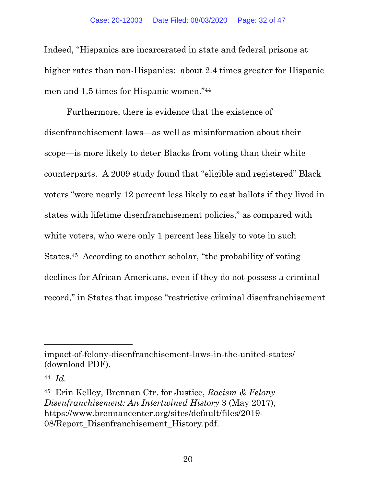<span id="page-31-0"></span>Indeed, "Hispanics are incarcerated in state and federal prisons at higher rates than non-Hispanics: about 2.4 times greater for Hispanic men and 1.5 times for Hispanic women."44

Furthermore, there is evidence that the existence of disenfranchisement laws—as well as misinformation about their scope—is more likely to deter Blacks from voting than their white counterparts. A 2009 study found that "eligible and registered" Black voters "were nearly 12 percent less likely to cast ballots if they lived in states with lifetime disenfranchisement policies," as compared with white voters, who were only 1 percent less likely to vote in such [States.45](https://States.45) According to another scholar, "the probability of voting declines for African-Americans, even if they do not possess a criminal record," in States that impose "restrictive criminal disenfranchisement

impact-of-felony-disenfranchisement-laws-in-the-united-states/ (download PDF).

<sup>44</sup>*Id.* 

<sup>45</sup> Erin Kelley, Brennan Ctr. for Justice, *Racism & Felony Disenfranchisement: An Intertwined History* 3 (May 2017), <https://www.brennancenter.org/sites/default/files/2019>- 08/Report\_Disenfranchisement\_History.pdf.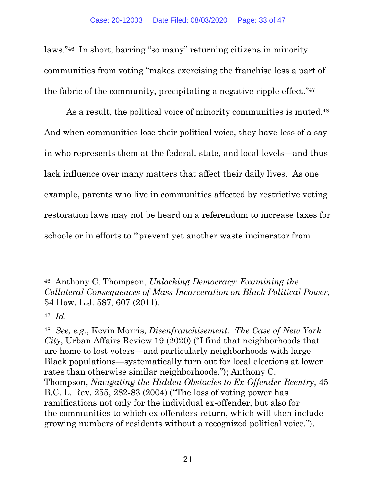<span id="page-32-0"></span>laws."46 In short, barring "so many" returning citizens in minority communities from voting "makes exercising the franchise less a part of the fabric of the community, precipitating a negative ripple effect."47

As a result, the political voice of minority communities is muted.<sup>48</sup> And when communities lose their political voice, they have less of a say in who represents them at the federal, state, and local levels—and thus lack influence over many matters that affect their daily lives. As one example, parents who live in communities affected by restrictive voting restoration laws may not be heard on a referendum to increase taxes for schools or in efforts to "'prevent yet another waste incinerator from

<sup>46</sup> Anthony C. Thompson, *Unlocking Democracy: Examining the Collateral Consequences of Mass Incarceration on Black Political Power*, 54 How. L.J. 587, 607 (2011).

<sup>47</sup>*Id.* 

<sup>48</sup>*See, e.g.*, Kevin Morris, *Disenfranchisement: The Case of New York City*, Urban Affairs Review 19 (2020) ("I find that neighborhoods that are home to lost voters—and particularly neighborhoods with large Black populations—systematically turn out for local elections at lower rates than otherwise similar neighborhoods."); Anthony C. Thompson, *Navigating the Hidden Obstacles to Ex-Offender Reentry*, 45 B.C. L. Rev. 255, 282-83 (2004) ("The loss of voting power has ramifications not only for the individual ex-offender, but also for the communities to which ex-offenders return, which will then include growing numbers of residents without a recognized political voice.").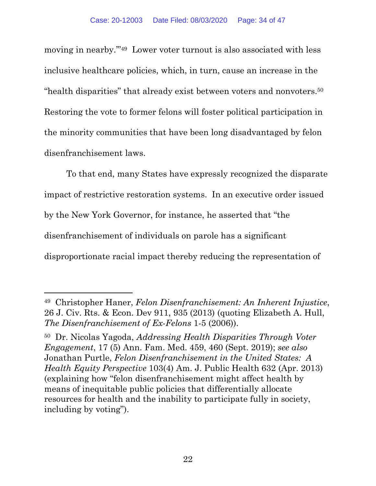<span id="page-33-0"></span>moving in nearby."<sup>49</sup> Lower voter turnout is also associated with less inclusive healthcare policies, which, in turn, cause an increase in the "health disparities" that already exist between voters and [nonvoters.50](https://nonvoters.50)  Restoring the vote to former felons will foster political participation in the minority communities that have been long disadvantaged by felon disenfranchisement laws.

To that end, many States have expressly recognized the disparate impact of restrictive restoration systems. In an executive order issued by the New York Governor, for instance, he asserted that "the disenfranchisement of individuals on parole has a significant disproportionate racial impact thereby reducing the representation of

<sup>49</sup> Christopher Haner, *Felon Disenfranchisement: An Inherent Injustice*, 26 J. Civ. Rts. & Econ. Dev 911, 935 (2013) (quoting Elizabeth A. Hull, *The Disenfranchisement of Ex-Felons* 1-5 (2006)).

<sup>50</sup> Dr. Nicolas Yagoda, *Addressing Health Disparities Through Voter Engagement*, 17 (5) Ann. Fam. Med. 459, 460 (Sept. 2019); *see also*  Jonathan Purtle, *Felon Disenfranchisement in the United States: A Health Equity Perspective* 103(4) Am. J. Public Health 632 (Apr. 2013) (explaining how "felon disenfranchisement might affect health by means of inequitable public policies that differentially allocate resources for health and the inability to participate fully in society, including by voting").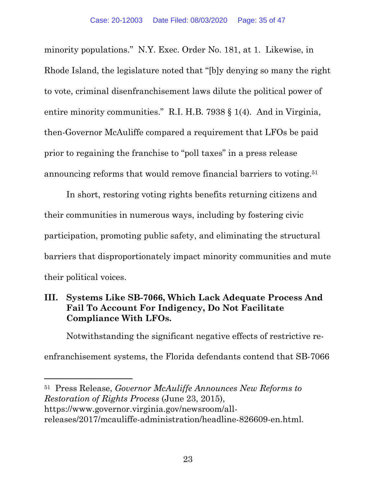<span id="page-34-0"></span>minority populations." N.Y. Exec. Order No. 181, at 1. Likewise, in Rhode Island, the legislature noted that "[b]y denying so many the right to vote, criminal disenfranchisement laws dilute the political power of entire minority communities." R.I. H.B. 7938 § 1(4). And in Virginia, then-Governor McAuliffe compared a requirement that LFOs be paid prior to regaining the franchise to "poll taxes" in a press release announcing reforms that would remove financial barriers to [voting.51](https://voting.51) 

In short, restoring voting rights benefits returning citizens and their communities in numerous ways, including by fostering civic participation, promoting public safety, and eliminating the structural barriers that disproportionately impact minority communities and mute their political voices.

### **III. Systems Like SB-7066, Which Lack Adequate Process And Fail To Account For Indigency, Do Not Facilitate Compliance With LFOs.**

Notwithstanding the significant negative effects of restrictive reenfranchisement systems, the Florida defendants contend that SB-7066

51 Press Release, *Governor McAuliffe Announces New Reforms to Restoration of Rights Process* (June 23, 2015), <https://www.governor.virginia.gov/newsroom/all>releases/2017/mcauliffe-administration/headline-826609-en.html.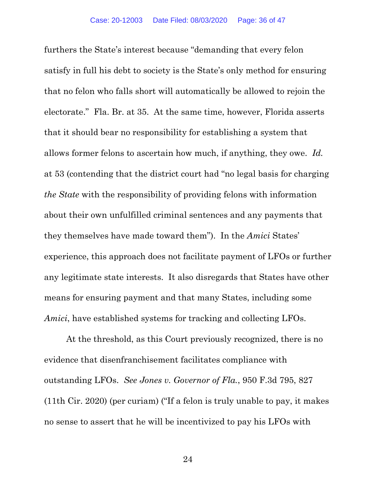furthers the State's interest because "demanding that every felon satisfy in full his debt to society is the State's only method for ensuring that no felon who falls short will automatically be allowed to rejoin the electorate." Fla. Br. at 35. At the same time, however, Florida asserts that it should bear no responsibility for establishing a system that allows former felons to ascertain how much, if anything, they owe. *Id.*  at 53 (contending that the district court had "no legal basis for charging *the State* with the responsibility of providing felons with information about their own unfulfilled criminal sentences and any payments that they themselves have made toward them"). In the *Amici* States' experience, this approach does not facilitate payment of LFOs or further any legitimate state interests. It also disregards that States have other means for ensuring payment and that many States, including some *Amici*, have established systems for tracking and collecting LFOs.

At the threshold, as this Court previously recognized, there is no evidence that disenfranchisement facilitates compliance with outstanding LFOs. *See Jones v. Governor of Fla.*, 950 F.3d 795, 827 (11th Cir. 2020) (per curiam) ("If a felon is truly unable to pay, it makes no sense to assert that he will be incentivized to pay his LFOs with

24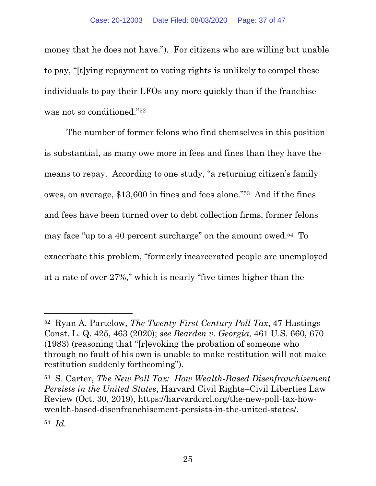<span id="page-36-0"></span>money that he does not have."). For citizens who are willing but unable to pay, "[t]ying repayment to voting rights is unlikely to compel these individuals to pay their LFOs any more quickly than if the franchise was not so conditioned."52

The number of former felons who find themselves in this position is substantial, as many owe more in fees and fines than they have the means to repay. According to one study, "a returning citizen's family owes, on average, \$13,600 in fines and fees alone."53 And if the fines and fees have been turned over to debt collection firms, former felons may face "up to a 40 percent surcharge" on the amount owed.54 To exacerbate this problem, "formerly incarcerated people are unemployed at a rate of over 27%," which is nearly "five times higher than the

<sup>52</sup> Ryan A. Partelow, *The Twenty-First Century Poll Tax*, 47 Hastings Const. L. Q. 425, 463 (2020); *see Bearden v. Georgia*, 461 U.S. 660, 670 (1983) (reasoning that "[r]evoking the probation of someone who through no fault of his own is unable to make restitution will not make restitution suddenly forthcoming").

<sup>53</sup> S. Carter, *The New Poll Tax: How Wealth-Based Disenfranchisement Persists in the United States*, Harvard Civil Rights–Civil Liberties Law Review (Oct. 30, 2019), <https://harvardcrcl.org/the-new-poll-tax-how>wealth-based-disenfranchisement-persists-in-the-united-states/.

<sup>54</sup>*Id.*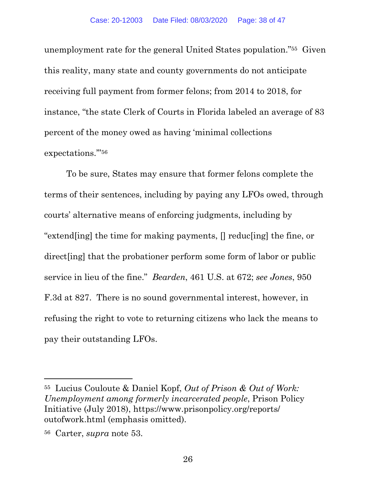<span id="page-37-0"></span>unemployment rate for the general United States population."55 Given this reality, many state and county governments do not anticipate receiving full payment from former felons; from 2014 to 2018, for instance, "the state Clerk of Courts in Florida labeled an average of 83 percent of the money owed as having 'minimal collections expectations.'"56

To be sure, States may ensure that former felons complete the terms of their sentences, including by paying any LFOs owed, through courts' alternative means of enforcing judgments, including by "extend[ing] the time for making payments, [] reduc[ing] the fine, or direct[ing] that the probationer perform some form of labor or public service in lieu of the fine." *Bearden*, 461 U.S. at 672 ; *see Jones*, 950 F.3d at 827. There is no sound governmental interest, however, in refusing the right to vote to returning citizens who lack the means to pay their outstanding LFOs.

<sup>55</sup> Lucius Couloute & Daniel Kopf, *Out of Prison & Out of Work: Unemployment among formerly incarcerated people*, Prison Policy Initiative (July 2018), [https://www.prisonpolicy.org/reports/](https://www.prisonpolicy.org/reports) outofwork.html (emphasis omitted).

<sup>56</sup> Carter, *supra* note 53.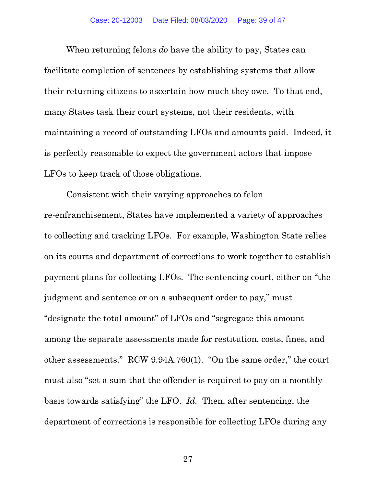<span id="page-38-0"></span>When returning felons *do* have the ability to pay, States can facilitate completion of sentences by establishing systems that allow their returning citizens to ascertain how much they owe. To that end, many States task their court systems, not their residents, with maintaining a record of outstanding LFOs and amounts paid. Indeed, it is perfectly reasonable to expect the government actors that impose LFOs to keep track of those obligations.

Consistent with their varying approaches to felon re-enfranchisement, States have implemented a variety of approaches to collecting and tracking LFOs. For example, Washington State relies on its courts and department of corrections to work together to establish payment plans for collecting LFOs. The sentencing court, either on "the judgment and sentence or on a subsequent order to pay," must "designate the total amount" of LFOs and "segregate this amount among the separate assessments made for restitution, costs, fines, and other assessments." RCW 9.94A.760(1). "On the same order," the court must also "set a sum that the offender is required to pay on a monthly basis towards satisfying" the LFO. *Id.* Then, after sentencing, the department of corrections is responsible for collecting LFOs during any

27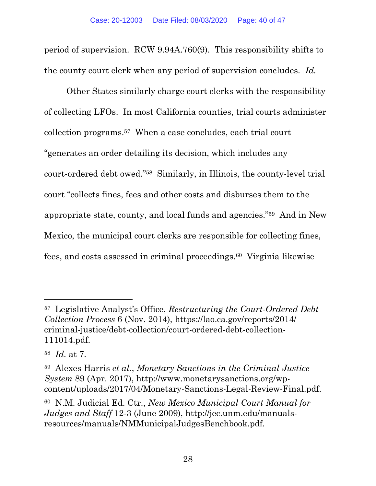<span id="page-39-0"></span>period of supervision. RCW 9.94A.760(9). This responsibility shifts to the county court clerk when any period of supervision concludes. *Id.* 

Other States similarly charge court clerks with the responsibility of collecting LFOs. In most California counties, trial courts administer collection [programs.57](https://programs.57) When a case concludes, each trial court "generates an order detailing its decision, which includes any court-ordered debt owed."58 Similarly, in Illinois, the county-level trial court "collects fines, fees and other costs and disburses them to the appropriate state, county, and local funds and agencies."59 And in New Mexico, the municipal court clerks are responsible for collecting fines, fees, and costs assessed in criminal [proceedings.60](https://proceedings.60) Virginia likewise

<sup>57</sup> Legislative Analyst's Office, *Restructuring the Court-Ordered Debt Collection Process* 6 (Nov. 2014), [https://lao.ca.gov/reports/2014/](https://lao.ca.gov/reports/2014) criminal-justice/debt-collection/court-ordered-debt-collection-111014.pdf.

<sup>58</sup>*Id.* at 7.

<sup>59</sup> Alexes Harris *et al.*, *Monetary Sanctions in the Criminal Justice System* 89 (Apr. 2017), <http://www.monetarysanctions.org/wp>content/uploads/2017/04/Monetary-Sanctions-Legal-Review-Final.pdf.

<sup>60</sup> N.M. Judicial Ed. Ctr., *New Mexico Municipal Court Manual for Judges and Staff* 12-3 (June 2009),<http://jec.unm.edu/manuals>resources/manuals/NMMunicipalJudgesBenchbook.pdf.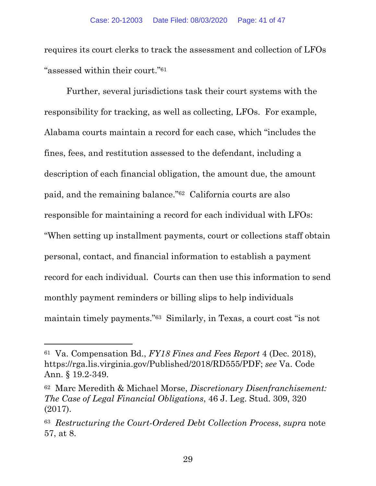<span id="page-40-0"></span>requires its court clerks to track the assessment and collection of LFOs "assessed within their court."61

Further, several jurisdictions task their court systems with the responsibility for tracking, as well as collecting, LFOs. For example, Alabama courts maintain a record for each case, which "includes the fines, fees, and restitution assessed to the defendant, including a description of each financial obligation, the amount due, the amount paid, and the remaining balance."62 California courts are also responsible for maintaining a record for each individual with LFOs: "When setting up installment payments, court or collections staff obtain personal, contact, and financial information to establish a payment record for each individual. Courts can then use this information to send monthly payment reminders or billing slips to help individuals maintain timely payments."63 Similarly, in Texas, a court cost "is not

<sup>61</sup> Va. Compensation Bd., *FY18 Fines and Fees Report* 4 (Dec. 2018), <https://rga.lis.virginia.gov/Published/2018/RD555/PDF>; *see* Va. Code Ann. § 19.2-349.

<sup>62</sup> Marc Meredith & Michael Morse, *Discretionary Disenfranchisement: The Case of Legal Financial Obligations*, 46 J. Leg. Stud. 309, 320 (2017).

<sup>63</sup>*Restructuring the Court-Ordered Debt Collection Process*, *supra* note 57, at 8.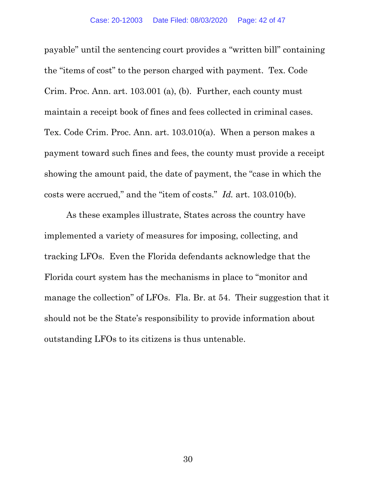<span id="page-41-0"></span>payable" until the sentencing court provides a "written bill" containing the "items of cost" to the person charged with payment. Tex. Code Crim. Proc. Ann. art. 103.001 (a), (b). Further, each county must maintain a receipt book of fines and fees collected in criminal cases. Tex. Code Crim. Proc. Ann. art. 103.010(a). When a person makes a payment toward such fines and fees, the county must provide a receipt showing the amount paid, the date of payment, the "case in which the costs were accrued," and the "item of costs." *Id.* art. 103.010(b).

As these examples illustrate, States across the country have implemented a variety of measures for imposing, collecting, and tracking LFOs. Even the Florida defendants acknowledge that the Florida court system has the mechanisms in place to "monitor and manage the collection" of LFOs. Fla. Br. at 54. Their suggestion that it should not be the State's responsibility to provide information about outstanding LFOs to its citizens is thus untenable.

30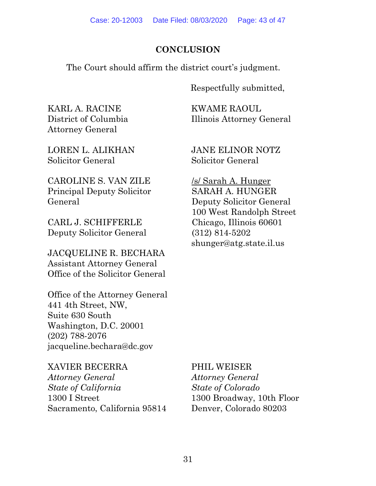#### **CONCLUSION**

<span id="page-42-0"></span>The Court should affirm the district court's judgment.

Respectfully submitted,

KARL A. RACINE KWAME RAOUL Attorney General

District of Columbia Illinois Attorney General

Solicitor General Solicitor General

CAROLINE S. VAN ZILE /s/ Sarah A. Hunger Principal Deputy Solicitor SARAH A. HUNGER General Deputy Solicitor General

CARL J. SCHIFFERLE Chicago, Illinois 60601 Deputy Solicitor General (312) 814-5202

JACQUELINE R. BECHARA Assistant Attorney General Office of the Solicitor General

Office of the Attorney General 441 4th Street, NW, Suite 630 South Washington, D.C. 20001 (202) 788-2076 [jacqueline.bechara@dc.gov](mailto:jacqueline.bechara@dc.gov)

XAVIER BECERRA PHIL WEISER *Attorney General Attorney General State of California State of Colorado*  1300 I Street 1300 Broadway, 10th Floor Sacramento, California 95814 Denver, Colorado 80203

LOREN L. ALIKHAN JANE ELINOR NOTZ

100 West Randolph Street [shunger@atg.state.il.us](mailto:shunger@atg.state.il.us)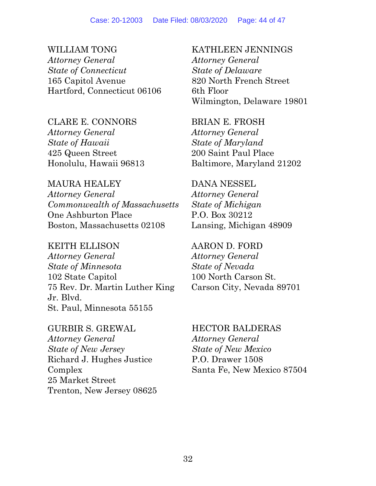WILLIAM TONG KATHLEEN JENNINGS *Attorney General Attorney General State of Connecticut State of Delaware*  165 Capitol Avenue 820 North French Street Hartford, Connecticut 06106 6th Floor

CLARE E. CONNORS BRIAN E. FROSH *Attorney General Attorney General State of Hawaii State of Maryland*  425 Queen Street 200 Saint Paul Place

MAURA HEALEY DANA NESSEL *Attorney General Attorney General Commonwealth of Massachusetts State of Michigan*  One Ashburton Place P.O. Box 30212 Boston, Massachusetts 02108 Lansing, Michigan 48909

KEITH ELLISON AARON D. FORD *Attorney General Attorney General State of Minnesota State of Nevada*  102 State Capitol 100 North Carson St. 75 Rev. Dr. Martin Luther King Carson City, Nevada 89701 Jr. Blvd. St. Paul, Minnesota 55155

GURBIR S. GREWAL HECTOR BALDERAS *Attorney General Attorney General State of New Jersey State of New Mexico*  Richard J. Hughes Justice P.O. Drawer 1508 25 Market Street Trenton, New Jersey 08625

Wilmington, Delaware 19801

Honolulu, Hawaii 96813 Baltimore, Maryland 21202

Complex Santa Fe, New Mexico 87504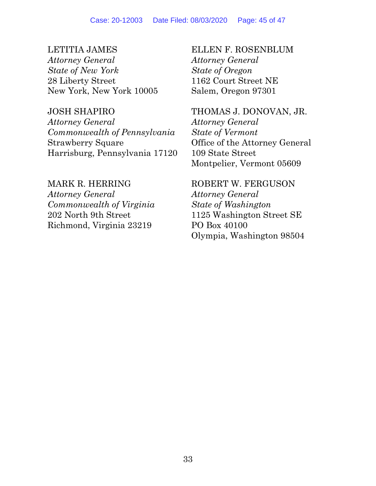*Attorney General Attorney General State of New York State of Oregon*  28 Liberty Street 1162 Court Street NE New York, New York 10005 Salem, Oregon 97301

*Attorney General Attorney General Commonwealth of Pennsylvania State of Vermont*  Strawberry Square **Office of the Attorney General** Harrisburg, Pennsylvania 17120 109 State Street

*Attorney General Attorney General Commonwealth of Virginia State of Washington*  Richmond, Virginia 23219 PO Box 40100

LETITIA JAMES ELLEN F. ROSENBLUM

JOSH SHAPIRO THOMAS J. DONOVAN, JR. Montpelier, Vermont 05609

MARK R. HERRING ROBERT W. FERGUSON 202 North 9th Street 1125 Washington Street SE Olympia, Washington 98504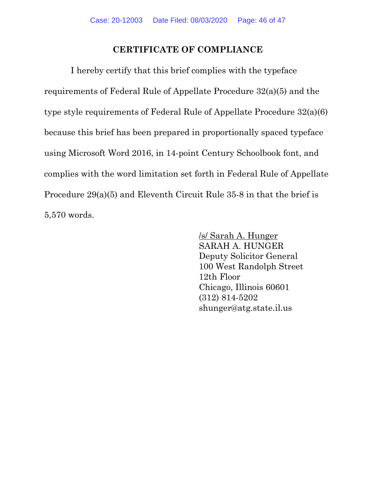#### **CERTIFICATE OF COMPLIANCE**

I hereby certify that this brief complies with the typeface requirements of Federal Rule of Appellate Procedure 32(a)(5) and the type style requirements of Federal Rule of Appellate Procedure 32(a)(6) because this brief has been prepared in proportionally spaced typeface using Microsoft Word 2016, in 14-point Century Schoolbook font, and complies with the word limitation set forth in Federal Rule of Appellate Procedure 29(a)(5) and Eleventh Circuit Rule 35-8 in that the brief is 5,570 words.

> /s/ Sarah A. Hunger SARAH A. HUNGER Deputy Solicitor General 100 West Randolph Street 12th Floor Chicago, Illinois 60601 (312) 814-5202 [shunger@atg.state.il.us](mailto:shunger@atg.state.il.us)